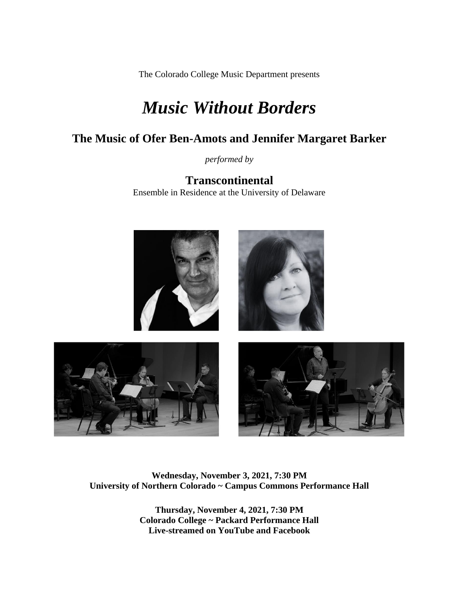The Colorado College Music Department presents

# *Music Without Borders*

# **The Music of Ofer Ben-Amots and Jennifer Margaret Barker**

*performed by*

**Transcontinental**  Ensemble in Residence at the University of Delaware



### **Wednesday, November 3, 2021, 7:30 PM University of Northern Colorado ~ Campus Commons Performance Hall**

**Thursday, November 4, 2021, 7:30 PM Colorado College ~ Packard Performance Hall Live-streamed on YouTube and Facebook**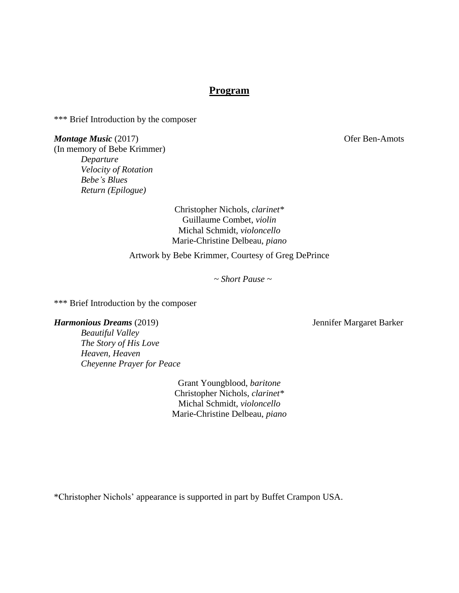## **Program**

\*\*\* Brief Introduction by the composer

*Montage Music* (2017) **Ofer Ben-Amots** (In memory of Bebe Krimmer) *Departure Velocity of Rotation Bebe's Blues Return (Epilogue)*

> Christopher Nichols, *clarinet\** Guillaume Combet, *violin* Michal Schmidt, *violoncello* Marie-Christine Delbeau, *piano*

Artwork by Bebe Krimmer, Courtesy of Greg DePrince

*~ Short Pause ~*

\*\*\* Brief Introduction by the composer

#### *Harmonious Dreams* (2019) Jennifer Margaret Barker

*Beautiful Valley The Story of His Love Heaven, Heaven Cheyenne Prayer for Peace*

> Grant Youngblood, *baritone* Christopher Nichols, *clarinet\** Michal Schmidt, *violoncello* Marie-Christine Delbeau, *piano*

\*Christopher Nichols' appearance is supported in part by Buffet Crampon USA.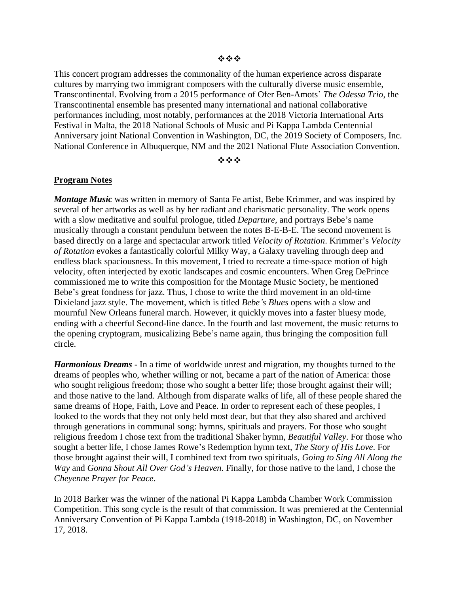This concert program addresses the commonality of the human experience across disparate cultures by marrying two immigrant composers with the culturally diverse music ensemble, Transcontinental. Evolving from a 2015 performance of Ofer Ben-Amots' *The Odessa Trio*, the Transcontinental ensemble has presented many international and national collaborative performances including, most notably, performances at the 2018 Victoria International Arts Festival in Malta, the 2018 National Schools of Music and Pi Kappa Lambda Centennial Anniversary joint National Convention in Washington, DC, the 2019 Society of Composers, Inc. National Conference in Albuquerque, NM and the 2021 National Flute Association Convention.

#### ❖❖❖

#### **Program Notes**

*Montage Music* was written in memory of Santa Fe artist, Bebe Krimmer, and was inspired by several of her artworks as well as by her radiant and charismatic personality. The work opens with a slow meditative and soulful prologue, titled *Departure,* and portrays Bebe's name musically through a constant pendulum between the notes B-E-B-E. The second movement is based directly on a large and spectacular artwork titled *Velocity of Rotation*. Krimmer's *Velocity of Rotation* evokes a fantastically colorful Milky Way, a Galaxy traveling through deep and endless black spaciousness. In this movement, I tried to recreate a time-space motion of high velocity, often interjected by exotic landscapes and cosmic encounters. When Greg DePrince commissioned me to write this composition for the Montage Music Society, he mentioned Bebe's great fondness for jazz. Thus, I chose to write the third movement in an old-time Dixieland jazz style. The movement, which is titled *Bebe's Blues* opens with a slow and mournful New Orleans funeral march. However, it quickly moves into a faster bluesy mode, ending with a cheerful Second-line dance. In the fourth and last movement, the music returns to the opening cryptogram, musicalizing Bebe's name again, thus bringing the composition full circle.

*Harmonious Dreams* - In a time of worldwide unrest and migration, my thoughts turned to the dreams of peoples who, whether willing or not, became a part of the nation of America: those who sought religious freedom; those who sought a better life; those brought against their will; and those native to the land. Although from disparate walks of life, all of these people shared the same dreams of Hope, Faith, Love and Peace. In order to represent each of these peoples, I looked to the words that they not only held most dear, but that they also shared and archived through generations in communal song: hymns, spirituals and prayers. For those who sought religious freedom I chose text from the traditional Shaker hymn, *Beautiful Valley*. For those who sought a better life, I chose James Rowe's Redemption hymn text, *The Story of His Love*. For those brought against their will, I combined text from two spirituals, *Going to Sing All Along the Way* and *Gonna Shout All Over God's Heaven.* Finally, for those native to the land, I chose the *Cheyenne Prayer for Peace*.

In 2018 Barker was the winner of the national Pi Kappa Lambda Chamber Work Commission Competition. This song cycle is the result of that commission. It was premiered at the Centennial Anniversary Convention of Pi Kappa Lambda (1918-2018) in Washington, DC, on November 17, 2018.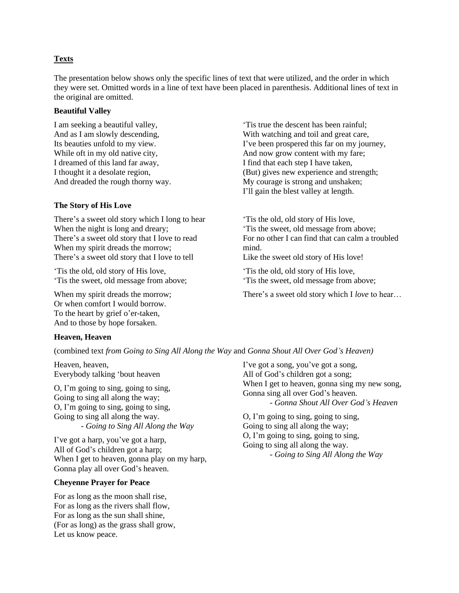#### **Texts**

The presentation below shows only the specific lines of text that were utilized, and the order in which they were set. Omitted words in a line of text have been placed in parenthesis. Additional lines of text in the original are omitted.

#### **Beautiful Valley**

I am seeking a beautiful valley, And as I am slowly descending, Its beauties unfold to my view. While oft in my old native city, I dreamed of this land far away, I thought it a desolate region, And dreaded the rough thorny way.

#### **The Story of His Love**

There's a sweet old story which I long to hear When the night is long and dreary; There's a sweet old story that I love to read When my spirit dreads the morrow; There's a sweet old story that I love to tell

'Tis the old, old story of His love, 'Tis the sweet, old message from above;

When my spirit dreads the morrow; Or when comfort I would borrow. To the heart by grief o'er-taken, And to those by hope forsaken.

**Heaven, Heaven**

(combined text *from Going to Sing All Along the Way* and *Gonna Shout All Over God's Heaven)*

Heaven, heaven, Everybody talking 'bout heaven

O, I'm going to sing, going to sing, Going to sing all along the way; O, I'm going to sing, going to sing, Going to sing all along the way. *- Going to Sing All Along the Way*

I've got a harp, you've got a harp, All of God's children got a harp; When I get to heaven, gonna play on my harp, Gonna play all over God's heaven.

#### **Cheyenne Prayer for Peace**

For as long as the moon shall rise, For as long as the rivers shall flow, For as long as the sun shall shine, (For as long) as the grass shall grow, Let us know peace.

'Tis true the descent has been rainful; With watching and toil and great care. I've been prospered this far on my journey, And now grow content with my fare; I find that each step I have taken, (But) gives new experience and strength; My courage is strong and unshaken; I'll gain the blest valley at length.

'Tis the old, old story of His love, 'Tis the sweet, old message from above; For no other I can find that can calm a troubled mind.

Like the sweet old story of His love!

'Tis the old, old story of His love, 'Tis the sweet, old message from above;

There's a sweet old story which I *love* to hear…

I've got a song, you've got a song, All of God's children got a song; When I get to heaven, gonna sing my new song, Gonna sing all over God's heaven. - *Gonna Shout All Over God's Heaven*

O, I'm going to sing, going to sing, Going to sing all along the way; O, I'm going to sing, going to sing, Going to sing all along the way. *- Going to Sing All Along the Way*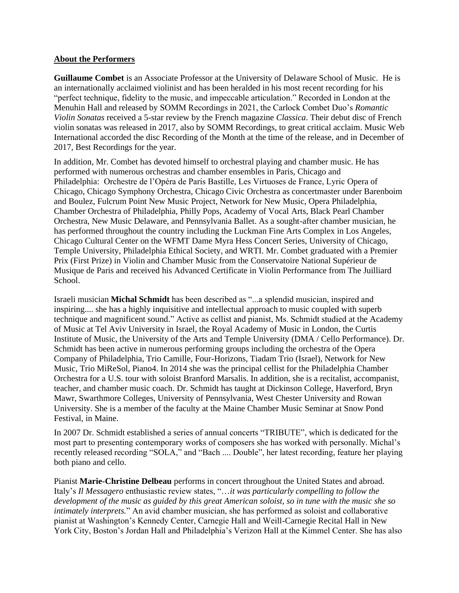#### **About the Performers**

**Guillaume Combet** is an Associate Professor at the University of Delaware School of Music. He is an internationally acclaimed violinist and has been heralded in his most recent recording for his "perfect technique, fidelity to the music, and impeccable articulation." Recorded in London at the Menuhin Hall and released by SOMM Recordings in 2021, the Carlock Combet Duo's *Romantic Violin Sonatas* received a 5-star review by the French magazine *Classica*. Their debut disc of French violin sonatas was released in 2017, also by SOMM Recordings, to great critical acclaim. Music Web International accorded the disc Recording of the Month at the time of the release, and in December of 2017, Best Recordings for the year.

In addition, Mr. Combet has devoted himself to orchestral playing and chamber music. He has performed with numerous orchestras and chamber ensembles in Paris, Chicago and Philadelphia: Orchestre de l'Opéra de Paris Bastille, Les Virtuoses de France, Lyric Opera of Chicago, Chicago Symphony Orchestra, Chicago Civic Orchestra as concertmaster under Barenboim and Boulez, Fulcrum Point New Music Project, Network for New Music, Opera Philadelphia, Chamber Orchestra of Philadelphia, Philly Pops, Academy of Vocal Arts, Black Pearl Chamber Orchestra, New Music Delaware, and Pennsylvania Ballet. As a sought-after chamber musician, he has performed throughout the country including the Luckman Fine Arts Complex in Los Angeles, Chicago Cultural Center on the WFMT Dame Myra Hess Concert Series, University of Chicago, Temple University, Philadelphia Ethical Society, and WRTI. Mr. Combet graduated with a Premier Prix (First Prize) in Violin and Chamber Music from the Conservatoire National Supérieur de Musique de Paris and received his Advanced Certificate in Violin Performance from The Juilliard School.

Israeli musician **Michal Schmidt** has been described as "...a splendid musician, inspired and inspiring.... she has a highly inquisitive and intellectual approach to music coupled with superb technique and magnificent sound." Active as cellist and pianist, Ms. Schmidt studied at the Academy of Music at Tel Aviv University in Israel, the Royal Academy of Music in London, the Curtis Institute of Music, the University of the Arts and Temple University (DMA / Cello Performance). Dr. Schmidt has been active in numerous performing groups including the orchestra of the Opera Company of Philadelphia, Trio Camille, Four-Horizons, Tiadam Trio (Israel), Network for New Music, Trio MiReSol, Piano4. In 2014 she was the principal cellist for the Philadelphia Chamber Orchestra for a U.S. tour with soloist Branford Marsalis. In addition, she is a recitalist, accompanist, teacher, and chamber music coach. Dr. Schmidt has taught at Dickinson College, Haverford, Bryn Mawr, Swarthmore Colleges, University of Pennsylvania, West Chester University and Rowan University. She is a member of the faculty at the Maine Chamber Music Seminar at Snow Pond Festival, in Maine.

In 2007 Dr. Schmidt established a series of annual concerts "TRIBUTE", which is dedicated for the most part to presenting contemporary works of composers she has worked with personally. Michal's recently released recording "SOLA," and "Bach .... Double", her latest recording, feature her playing both piano and cello.

Pianist **Marie-Christine Delbeau** performs in concert throughout the United States and abroad. Italy's *Il Messagero* enthusiastic review states, "…*it was particularly compelling to follow the development of the music as guided by this great American soloist, so in tune with the music she so intimately interprets.*" An avid chamber musician, she has performed as soloist and collaborative pianist at Washington's Kennedy Center, Carnegie Hall and Weill-Carnegie Recital Hall in New York City, Boston's Jordan Hall and Philadelphia's Verizon Hall at the Kimmel Center. She has also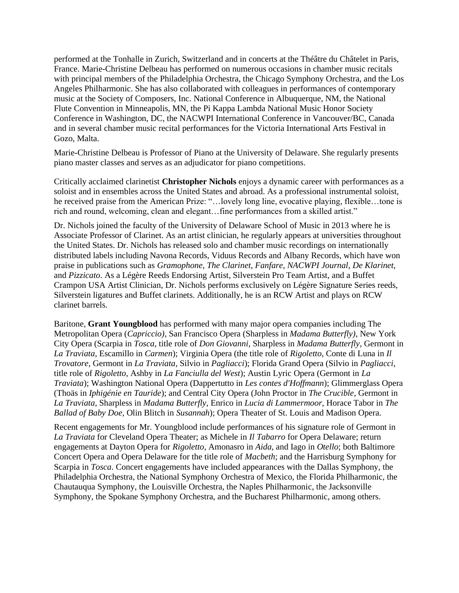performed at the Tonhalle in Zurich, Switzerland and in concerts at the Théâtre du Châtelet in Paris, France. Marie-Christine Delbeau has performed on numerous occasions in chamber music recitals with principal members of the Philadelphia Orchestra, the Chicago Symphony Orchestra, and the Los Angeles Philharmonic. She has also collaborated with colleagues in performances of contemporary music at the Society of Composers, Inc. National Conference in Albuquerque, NM, the National Flute Convention in Minneapolis, MN, the Pi Kappa Lambda National Music Honor Society Conference in Washington, DC, the NACWPI International Conference in Vancouver/BC, Canada and in several chamber music recital performances for the Victoria International Arts Festival in Gozo, Malta.

Marie-Christine Delbeau is Professor of Piano at the University of Delaware. She regularly presents piano master classes and serves as an adjudicator for piano competitions.

Critically acclaimed clarinetist **Christopher Nichols** enjoys a dynamic career with performances as a soloist and in ensembles across the United States and abroad. As a professional instrumental soloist, he received praise from the American Prize: "...lovely long line, evocative playing, flexible...tone is rich and round, welcoming, clean and elegant…fine performances from a skilled artist."

Dr. Nichols joined the faculty of the University of Delaware School of Music in 2013 where he is Associate Professor of Clarinet. As an artist clinician, he regularly appears at universities throughout the United States. Dr. Nichols has released solo and chamber music recordings on internationally distributed labels including Navona Records, Viduus Records and Albany Records, which have won praise in publications such as *Gramophone*, *The Clarinet*, *Fanfare*, *NACWPI Journal*, *De Klarinet*, and *Pizzicato*. As a Légère Reeds Endorsing Artist, Silverstein Pro Team Artist, and a Buffet Crampon USA Artist Clinician, Dr. Nichols performs exclusively on Légère Signature Series reeds, Silverstein ligatures and Buffet clarinets. Additionally, he is an RCW Artist and plays on RCW clarinet barrels.

Baritone, **Grant Youngblood** has performed with many major opera companies including The Metropolitan Opera (*Capriccio)*, San Francisco Opera (Sharpless in *Madama Butterfly)*, New York City Opera (Scarpia in *Tosca*, title role of *Don Giovanni*, Sharpless in *Madama Butterfly*, Germont in *La Traviata*, Escamillo in *Carmen*); Virginia Opera (the title role of *Rigoletto*, Conte di Luna in *Il Trovatore*, Germont in *La Traviata*, Silvio in *Pagliacci*); Florida Grand Opera (Silvio in *Pagliacci*, title role of *Rigoletto*, Ashby in *La Fanciulla del West*); Austin Lyric Opera (Germont in *La Traviata*); Washington National Opera (Dappertutto in *Les contes d'Hoffmann*); Glimmerglass Opera (Thoäs in *Iphigénie en Tauride*); and Central City Opera (John Proctor in *The Crucible*, Germont in *La Traviata*, Sharpless in *Madama Butterfly*, Enrico in *Lucia di Lammermoor*, Horace Tabor in *The Ballad of Baby Doe,* Olin Blitch in *Susannah*); Opera Theater of St. Louis and Madison Opera.

Recent engagements for Mr. Youngblood include performances of his signature role of Germont in *La Traviata* for Cleveland Opera Theater; as Michele in *Il Tabarro* for Opera Delaware; return engagements at Dayton Opera for *Rigoletto*, Amonasro in *Aida*, and Iago in *Otello*; both Baltimore Concert Opera and Opera Delaware for the title role of *Macbeth*; and the Harrisburg Symphony for Scarpia in *Tosca*. Concert engagements have included appearances with the Dallas Symphony, the Philadelphia Orchestra, the National Symphony Orchestra of Mexico, the Florida Philharmonic, the Chautauqua Symphony, the Louisville Orchestra, the Naples Philharmonic, the Jacksonville Symphony, the Spokane Symphony Orchestra, and the Bucharest Philharmonic, among others.